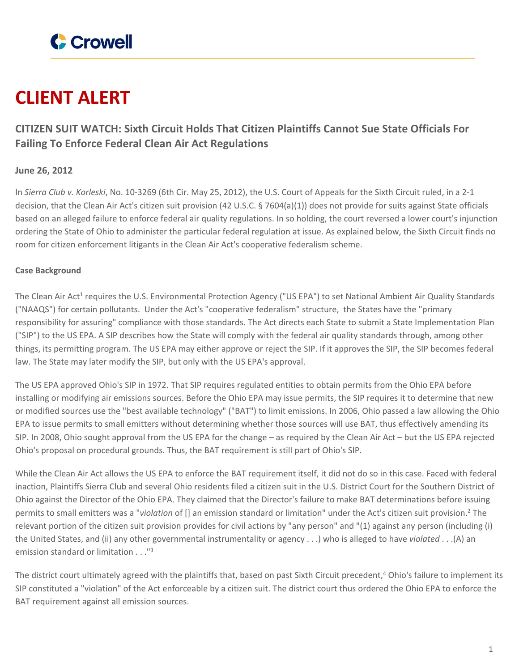

# **CLIENT ALERT**

# **CITIZEN SUIT WATCH: Sixth Circuit Holds That Citizen Plaintiffs Cannot Sue State Officials For Failing To Enforce Federal Clean Air Act Regulations**

## **June 26, 2012**

In *Sierra Club v. Korleski*, No. 10-3269 (6th Cir. May 25, 2012), the U.S. Court of Appeals for the Sixth Circuit ruled, in a 2-1 decision, that the Clean Air Act's citizen suit provision (42 U.S.C. § 7604(a)(1)) does not provide for suits against State officials based on an alleged failure to enforce federal air quality regulations. In so holding, the court reversed a lower court's injunction ordering the State of Ohio to administer the particular federal regulation at issue. As explained below, the Sixth Circuit finds no room for citizen enforcement litigants in the Clean Air Act's cooperative federalism scheme.

### **Case Background**

The Clean Air Act<sup>1</sup> requires the U.S. Environmental Protection Agency ("US EPA") to set National Ambient Air Quality Standards ("NAAQS") for certain pollutants. Under the Act's "cooperative federalism" structure, the States have the "primary responsibility for assuring" compliance with those standards. The Act directs each State to submit a State Implementation Plan ("SIP") to the US EPA. A SIP describes how the State will comply with the federal air quality standards through, among other things, its permitting program. The US EPA may either approve or reject the SIP. If it approves the SIP, the SIP becomes federal law. The State may later modify the SIP, but only with the US EPA's approval.

The US EPA approved Ohio's SIP in 1972. That SIP requires regulated entities to obtain permits from the Ohio EPA before installing or modifying air emissions sources. Before the Ohio EPA may issue permits, the SIP requires it to determine that new or modified sources use the "best available technology" ("BAT") to limit emissions. In 2006, Ohio passed a law allowing the Ohio EPA to issue permits to small emitters without determining whether those sources will use BAT, thus effectively amending its SIP. In 2008, Ohio sought approval from the US EPA for the change – as required by the Clean Air Act – but the US EPA rejected Ohio's proposal on procedural grounds. Thus, the BAT requirement is still part of Ohio's SIP.

While the Clean Air Act allows the US EPA to enforce the BAT requirement itself, it did not do so in this case. Faced with federal inaction, Plaintiffs Sierra Club and several Ohio residents filed a citizen suit in the U.S. District Court for the Southern District of Ohio against the Director of the Ohio EPA. They claimed that the Director's failure to make BAT determinations before issuing permits to small emitters was a "*violation* of [] an emission standard or limitation" under the Act's citizen suit provision.<sup>2</sup> The relevant portion of the citizen suit provision provides for civil actions by "any person" and "(1) against any person (including (i) the United States, and (ii) any other governmental instrumentality or agency . . .) who is alleged to have *violated* . . .(A) an emission standard or limitation . . ."<sup>3</sup>

The district court ultimately agreed with the plaintiffs that, based on past Sixth Circuit precedent,<sup>4</sup> Ohio's failure to implement its SIP constituted a "violation" of the Act enforceable by a citizen suit. The district court thus ordered the Ohio EPA to enforce the BAT requirement against all emission sources.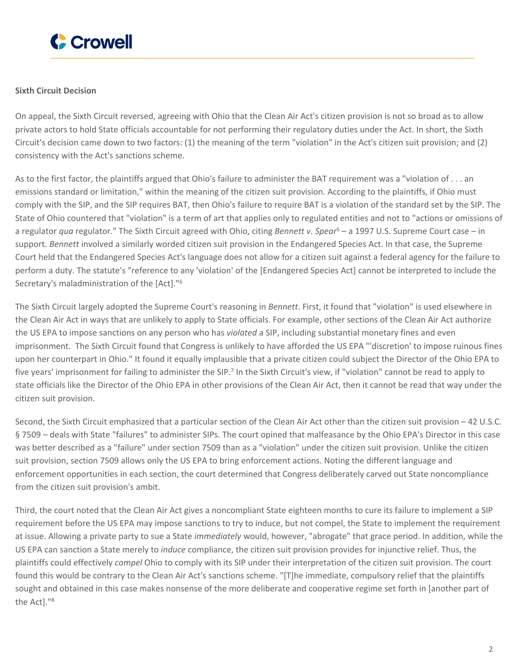

#### **Sixth Circuit Decision**

On appeal, the Sixth Circuit reversed, agreeing with Ohio that the Clean Air Act's citizen provision is not so broad as to allow private actors to hold State officials accountable for not performing their regulatory duties under the Act. In short, the Sixth Circuit's decision came down to two factors: (1) the meaning of the term "violation" in the Act's citizen suit provision; and (2) consistency with the Act's sanctions scheme.

As to the first factor, the plaintiffs argued that Ohio's failure to administer the BAT requirement was a "violation of . . . an emissions standard or limitation," within the meaning of the citizen suit provision. According to the plaintiffs, if Ohio must comply with the SIP, and the SIP requires BAT, then Ohio's failure to require BAT is a violation of the standard set by the SIP. The State of Ohio countered that "violation" is a term of art that applies only to regulated entities and not to "actions or omissions of a regulator *qua* regulator." The Sixth Circuit agreed with Ohio, citing *Bennett v. Spear*<sup>5</sup> – a 1997 U.S. Supreme Court case – in support. *Bennett* involved a similarly worded citizen suit provision in the Endangered Species Act. In that case, the Supreme Court held that the Endangered Species Act's language does not allow for a citizen suit against a federal agency for the failure to perform a duty. The statute's "reference to any 'violation' of the [Endangered Species Act] cannot be interpreted to include the Secretary's maladministration of the [Act]."<sup>6</sup>

The Sixth Circuit largely adopted the Supreme Court's reasoning in *Bennett*. First, it found that "violation" is used elsewhere in the Clean Air Act in ways that are unlikely to apply to State officials. For example, other sections of the Clean Air Act authorize the US EPA to impose sanctions on any person who has *violated* a SIP, including substantial monetary fines and even imprisonment. The Sixth Circuit found that Congress is unlikely to have afforded the US EPA "'discretion' to impose ruinous fines upon her counterpart in Ohio." It found it equally implausible that a private citizen could subject the Director of the Ohio EPA to five years' imprisonment for failing to administer the SIP.<sup>7</sup> In the Sixth Circuit's view, if "violation" cannot be read to apply to state officials like the Director of the Ohio EPA in other provisions of the Clean Air Act, then it cannot be read that way under the citizen suit provision.

Second, the Sixth Circuit emphasized that a particular section of the Clean Air Act other than the citizen suit provision – 42 U.S.C. § 7509 - deals with State "failures" to administer SIPs. The court opined that malfeasance by the Ohio EPA's Director in this case was better described as a "failure" under section 7509 than as a "violation" under the citizen suit provision. Unlike the citizen suit provision, section 7509 allows only the US EPA to bring enforcement actions. Noting the different language and enforcement opportunities in each section, the court determined that Congress deliberately carved out State noncompliance from the citizen suit provision's ambit.

Third, the court noted that the Clean Air Act gives a noncompliant State eighteen months to cure its failure to implement a SIP requirement before the US EPA may impose sanctions to try to induce, but not compel, the State to implement the requirement at issue. Allowing a private party to sue a State *immediately* would, however, "abrogate" that grace period. In addition, while the US EPA can sanction a State merely to *induce* compliance, the citizen suit provision provides for injunctive relief. Thus, the plaintiffs could effectively *compel* Ohio to comply with its SIP under their interpretation of the citizen suit provision. The court found this would be contrary to the Clean Air Act's sanctions scheme. "[T]he immediate, compulsory relief that the plaintiffs sought and obtained in this case makes nonsense of the more deliberate and cooperative regime set forth in [another part of the Act]."<sup>8</sup>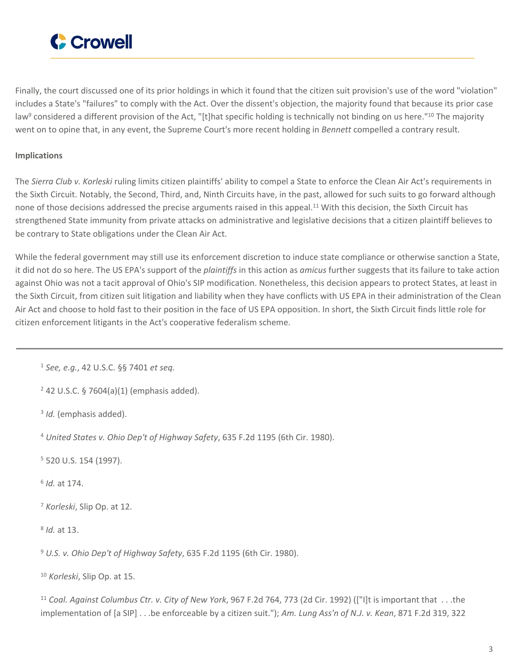

Finally, the court discussed one of its prior holdings in which it found that the citizen suit provision's use of the word "violation" includes a State's "failures" to comply with the Act. Over the dissent's objection, the majority found that because its prior case law<sup>9</sup> considered a different provision of the Act, "[t]hat specific holding is technically not binding on us here."<sup>10</sup> The majority went on to opine that, in any event, the Supreme Court's more recent holding in *Bennett* compelled a contrary result.

#### **Implications**

The *Sierra Club v. Korleski* ruling limits citizen plaintiffs' ability to compel a State to enforce the Clean Air Act's requirements in the Sixth Circuit. Notably, the Second, Third, and, Ninth Circuits have, in the past, allowed for such suits to go forward although none of those decisions addressed the precise arguments raised in this appeal.<sup>11</sup> With this decision, the Sixth Circuit has strengthened State immunity from private attacks on administrative and legislative decisions that a citizen plaintiff believes to be contrary to State obligations under the Clean Air Act.

While the federal government may still use its enforcement discretion to induce state compliance or otherwise sanction a State, it did not do so here. The US EPA's support of the *plaintiffs* in this action as *amicus* further suggests that its failure to take action against Ohio was not a tacit approval of Ohio's SIP modification. Nonetheless, this decision appears to protect States, at least in the Sixth Circuit, from citizen suit litigation and liability when they have conflicts with US EPA in their administration of the Clean Air Act and choose to hold fast to their position in the face of US EPA opposition. In short, the Sixth Circuit finds little role for citizen enforcement litigants in the Act's cooperative federalism scheme.

<sup>1</sup> *See, e.g.*, 42 U.S.C. §§ 7401 *et seq.*

<sup>2</sup> 42 U.S.C. § 7604(a)(1) (emphasis added).

3 *Id.* (emphasis added).

<sup>4</sup> *United States v. Ohio Dep't of Highway Safety*, 635 F.2d 1195 (6th Cir. 1980).

<sup>5</sup> 520 U.S. 154 (1997).

6 *Id.* at 174.

<sup>7</sup> *Korleski*, Slip Op. at 12.

8 *Id.* at 13.

<sup>9</sup> *U.S. v. Ohio Dep't of Highway Safety*, 635 F.2d 1195 (6th Cir. 1980).

<sup>10</sup> *Korleski*, Slip Op. at 15.

<sup>11</sup> *Coal. Against Columbus Ctr. v. City of New York*, 967 F.2d 764, 773 (2d Cir. 1992) (["I]t is important that . . .the implementation of [a SIP] . . .be enforceable by a citizen suit."); *Am. Lung Ass'n of N.J. v. Kean*, 871 F.2d 319, 322